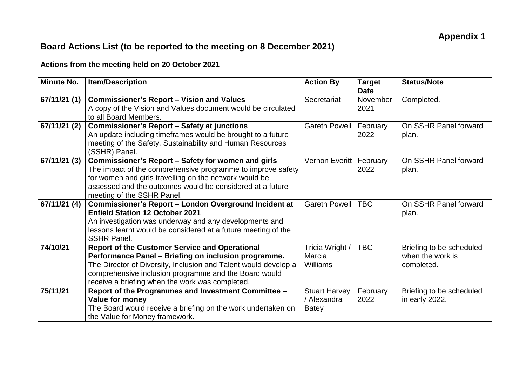## **Board Actions List (to be reported to the meeting on 8 December 2021)**

## **Actions from the meeting held on 20 October 2021**

| <b>Minute No.</b> | <b>Item/Description</b>                                                                                                                                                                                                                                                                      | <b>Action By</b>                                    | <b>Target</b><br><b>Date</b> | <b>Status/Note</b>                                         |
|-------------------|----------------------------------------------------------------------------------------------------------------------------------------------------------------------------------------------------------------------------------------------------------------------------------------------|-----------------------------------------------------|------------------------------|------------------------------------------------------------|
| 67/11/21 (1)      | <b>Commissioner's Report - Vision and Values</b><br>A copy of the Vision and Values document would be circulated<br>to all Board Members.                                                                                                                                                    | Secretariat                                         | November<br>2021             | Completed.                                                 |
| 67/11/21 (2)      | <b>Commissioner's Report - Safety at junctions</b><br>An update including timeframes would be brought to a future<br>meeting of the Safety, Sustainability and Human Resources<br>(SSHR) Panel.                                                                                              | <b>Gareth Powell</b>                                | February<br>2022             | On SSHR Panel forward<br>plan.                             |
| 67/11/21 (3)      | Commissioner's Report - Safety for women and girls<br>The impact of the comprehensive programme to improve safety<br>for women and girls travelling on the network would be<br>assessed and the outcomes would be considered at a future<br>meeting of the SSHR Panel.                       | Vernon Everitt   February                           | 2022                         | On SSHR Panel forward<br>plan.                             |
| 67/11/21 (4)      | Commissioner's Report - London Overground Incident at<br><b>Enfield Station 12 October 2021</b><br>An investigation was underway and any developments and<br>lessons learnt would be considered at a future meeting of the<br><b>SSHR Panel.</b>                                             | <b>Gareth Powell</b>                                | <b>TBC</b>                   | On SSHR Panel forward<br>plan.                             |
| 74/10/21          | <b>Report of the Customer Service and Operational</b><br>Performance Panel - Briefing on inclusion programme.<br>The Director of Diversity, Inclusion and Talent would develop a<br>comprehensive inclusion programme and the Board would<br>receive a briefing when the work was completed. | Tricia Wright /<br>Marcia<br><b>Williams</b>        | <b>TBC</b>                   | Briefing to be scheduled<br>when the work is<br>completed. |
| 75/11/21          | Report of the Programmes and Investment Committee -<br>Value for money<br>The Board would receive a briefing on the work undertaken on<br>the Value for Money framework.                                                                                                                     | <b>Stuart Harvey</b><br>/ Alexandra<br><b>Batey</b> | February<br>2022             | Briefing to be scheduled<br>in early 2022.                 |